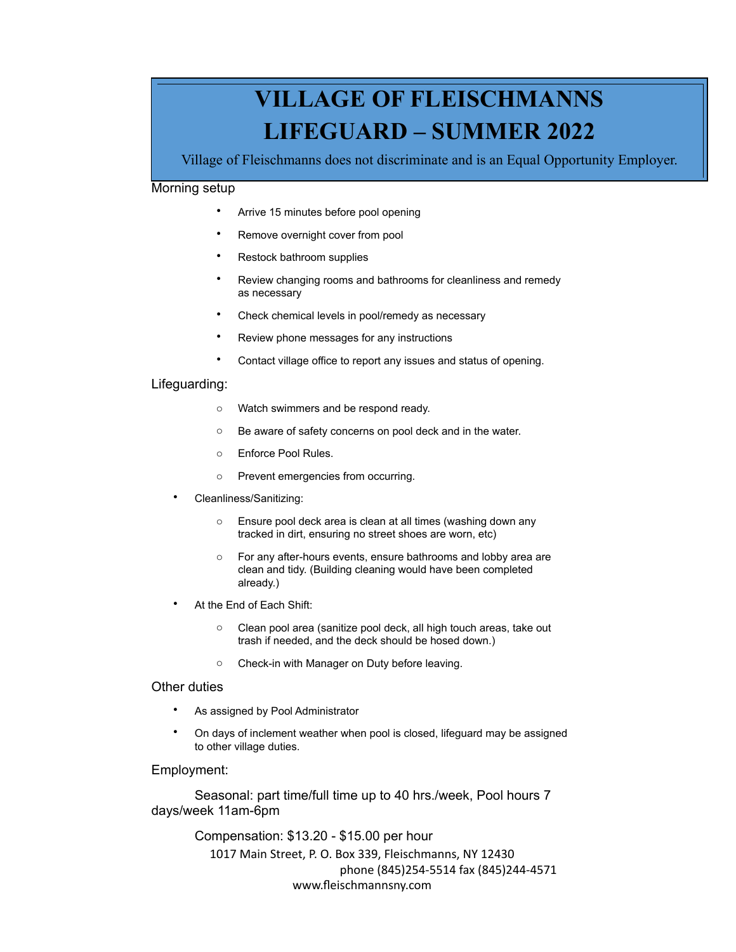# **VILLAGE OF FLEISCHMANNS LIFEGUARD – SUMMER 2022**

Village of Fleischmanns does not discriminate and is an Equal Opportunity Employer.

## Morning setup

- Arrive 15 minutes before pool opening
- Remove overnight cover from pool
- Restock bathroom supplies
- Review changing rooms and bathrooms for cleanliness and remedy as necessary
- Check chemical levels in pool/remedy as necessary
- Review phone messages for any instructions
- Contact village office to report any issues and status of opening.

### Lifeguarding:

- o Watch swimmers and be respond ready.
- o Be aware of safety concerns on pool deck and in the water.
- o Enforce Pool Rules.
- o Prevent emergencies from occurring.
- Cleanliness/Sanitizing:
	- o Ensure pool deck area is clean at all times (washing down any tracked in dirt, ensuring no street shoes are worn, etc)
	- o For any after-hours events, ensure bathrooms and lobby area are clean and tidy. (Building cleaning would have been completed already.)
- At the End of Each Shift:
	- o Clean pool area (sanitize pool deck, all high touch areas, take out trash if needed, and the deck should be hosed down.)
	- o Check-in with Manager on Duty before leaving.

#### Other duties

- As assigned by Pool Administrator
- On days of inclement weather when pool is closed, lifeguard may be assigned to other village duties.

#### Employment:

Seasonal: part time/full time up to 40 hrs./week, Pool hours 7 days/week 11am-6pm

> Compensation: \$13.20 - \$15.00 per hour 1017 Main Street, P. O. Box 339, Fleischmanns, NY 12430 phone (845)254-5514 fax (845)244-4571 [www.fleischmannsny.com](http://www.fleischmannsny.com)